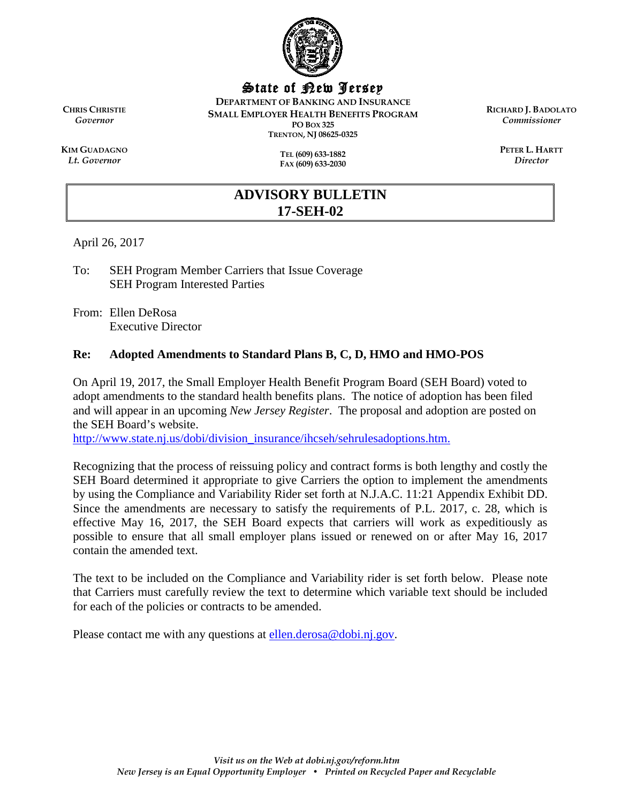

State of New Jersey

**DEPARTMENT OF BANKING AND INSURANCE SMALL EMPLOYER HEALTH BENEFITS PROGRAM PO BOX 325 TRENTON, NJ 08625-0325**

**RICHARD J. BADOLATO** *Commissioner*

> **PETER L. HARTT** *Director*

**KIM GUADAGNO** *Lt. Governor*

**CHRIS CHRISTIE** *Governor*

> **TEL (609) 633-1882 FAX (609) 633-2030**

# **ADVISORY BULLETIN 17-SEH-02**

April 26, 2017

To: SEH Program Member Carriers that Issue Coverage SEH Program Interested Parties

From: Ellen DeRosa Executive Director

## **Re: Adopted Amendments to Standard Plans B, C, D, HMO and HMO-POS**

On April 19, 2017, the Small Employer Health Benefit Program Board (SEH Board) voted to adopt amendments to the standard health benefits plans. The notice of adoption has been filed and will appear in an upcoming *New Jersey Register*. The proposal and adoption are posted on the SEH Board's website.

[http://www.state.nj.us/dobi/division\\_insurance/ihcseh/sehrulesadoptions.htm.](http://www.state.nj.us/dobi/division_insurance/ihcseh/sehrulesadoptions.htm)

Recognizing that the process of reissuing policy and contract forms is both lengthy and costly the SEH Board determined it appropriate to give Carriers the option to implement the amendments by using the Compliance and Variability Rider set forth at N.J.A.C. 11:21 Appendix Exhibit DD. Since the amendments are necessary to satisfy the requirements of P.L. 2017, c. 28, which is effective May 16, 2017, the SEH Board expects that carriers will work as expeditiously as possible to ensure that all small employer plans issued or renewed on or after May 16, 2017 contain the amended text.

The text to be included on the Compliance and Variability rider is set forth below. Please note that Carriers must carefully review the text to determine which variable text should be included for each of the policies or contracts to be amended.

Please contact me with any questions at [ellen.derosa@dobi.nj.gov.](mailto:ellen.derosa@dobi.nj.gov)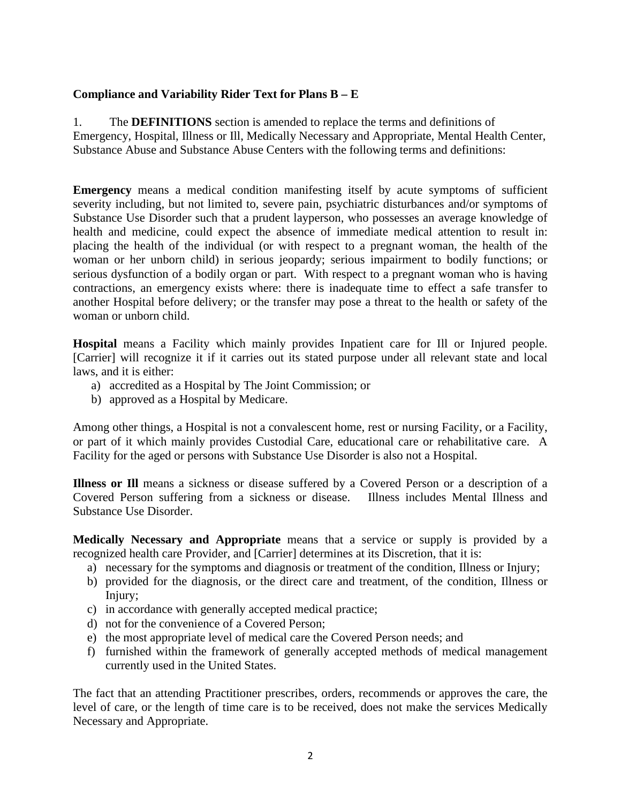## **Compliance and Variability Rider Text for Plans B – E**

1. The **DEFINITIONS** section is amended to replace the terms and definitions of Emergency, Hospital, Illness or Ill, Medically Necessary and Appropriate, Mental Health Center, Substance Abuse and Substance Abuse Centers with the following terms and definitions:

**Emergency** means a medical condition manifesting itself by acute symptoms of sufficient severity including, but not limited to, severe pain, psychiatric disturbances and/or symptoms of Substance Use Disorder such that a prudent layperson, who possesses an average knowledge of health and medicine, could expect the absence of immediate medical attention to result in: placing the health of the individual (or with respect to a pregnant woman, the health of the woman or her unborn child) in serious jeopardy; serious impairment to bodily functions; or serious dysfunction of a bodily organ or part. With respect to a pregnant woman who is having contractions, an emergency exists where: there is inadequate time to effect a safe transfer to another Hospital before delivery; or the transfer may pose a threat to the health or safety of the woman or unborn child.

**Hospital** means a Facility which mainly provides Inpatient care for Ill or Injured people. [Carrier] will recognize it if it carries out its stated purpose under all relevant state and local laws, and it is either:

- a) accredited as a Hospital by The Joint Commission; or
- b) approved as a Hospital by Medicare.

Among other things, a Hospital is not a convalescent home, rest or nursing Facility, or a Facility, or part of it which mainly provides Custodial Care, educational care or rehabilitative care. A Facility for the aged or persons with Substance Use Disorder is also not a Hospital.

**Illness or Ill** means a sickness or disease suffered by a Covered Person or a description of a Covered Person suffering from a sickness or disease. Illness includes Mental Illness and Substance Use Disorder.

**Medically Necessary and Appropriate** means that a service or supply is provided by a recognized health care Provider, and [Carrier] determines at its Discretion, that it is:

- a) necessary for the symptoms and diagnosis or treatment of the condition, Illness or Injury;
- b) provided for the diagnosis, or the direct care and treatment, of the condition, Illness or Injury;
- c) in accordance with generally accepted medical practice;
- d) not for the convenience of a Covered Person;
- e) the most appropriate level of medical care the Covered Person needs; and
- f) furnished within the framework of generally accepted methods of medical management currently used in the United States.

The fact that an attending Practitioner prescribes, orders, recommends or approves the care, the level of care, or the length of time care is to be received, does not make the services Medically Necessary and Appropriate.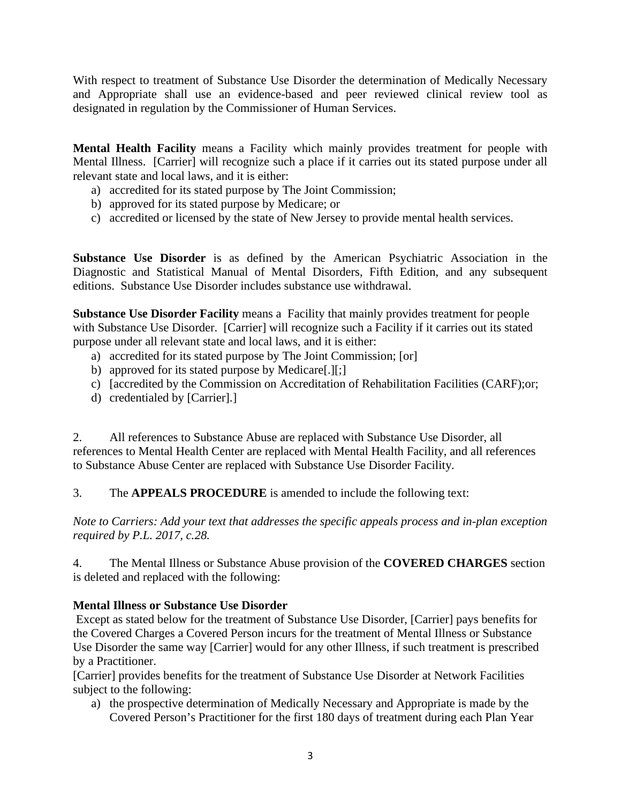With respect to treatment of Substance Use Disorder the determination of Medically Necessary and Appropriate shall use an evidence-based and peer reviewed clinical review tool as designated in regulation by the Commissioner of Human Services.

**Mental Health Facility** means a Facility which mainly provides treatment for people with Mental Illness. [Carrier] will recognize such a place if it carries out its stated purpose under all relevant state and local laws, and it is either:

- a) accredited for its stated purpose by The Joint Commission;
- b) approved for its stated purpose by Medicare; or
- c) accredited or licensed by the state of New Jersey to provide mental health services.

**Substance Use Disorder** is as defined by the American Psychiatric Association in the Diagnostic and Statistical Manual of Mental Disorders, Fifth Edition, and any subsequent editions. Substance Use Disorder includes substance use withdrawal.

**Substance Use Disorder Facility** means a Facility that mainly provides treatment for people with Substance Use Disorder. [Carrier] will recognize such a Facility if it carries out its stated purpose under all relevant state and local laws, and it is either:

- a) accredited for its stated purpose by The Joint Commission; [or]
- b) approved for its stated purpose by Medicare[.][;]
- c) [accredited by the Commission on Accreditation of Rehabilitation Facilities (CARF);or;
- d) credentialed by [Carrier].]

2. All references to Substance Abuse are replaced with Substance Use Disorder, all references to Mental Health Center are replaced with Mental Health Facility, and all references to Substance Abuse Center are replaced with Substance Use Disorder Facility.

3. The **APPEALS PROCEDURE** is amended to include the following text:

*Note to Carriers: Add your text that addresses the specific appeals process and in-plan exception required by P.L. 2017, c.28.*

4. The Mental Illness or Substance Abuse provision of the **COVERED CHARGES** section is deleted and replaced with the following:

## **Mental Illness or Substance Use Disorder**

Except as stated below for the treatment of Substance Use Disorder, [Carrier] pays benefits for the Covered Charges a Covered Person incurs for the treatment of Mental Illness or Substance Use Disorder the same way [Carrier] would for any other Illness, if such treatment is prescribed by a Practitioner.

[Carrier] provides benefits for the treatment of Substance Use Disorder at Network Facilities subject to the following:

a) the prospective determination of Medically Necessary and Appropriate is made by the Covered Person's Practitioner for the first 180 days of treatment during each Plan Year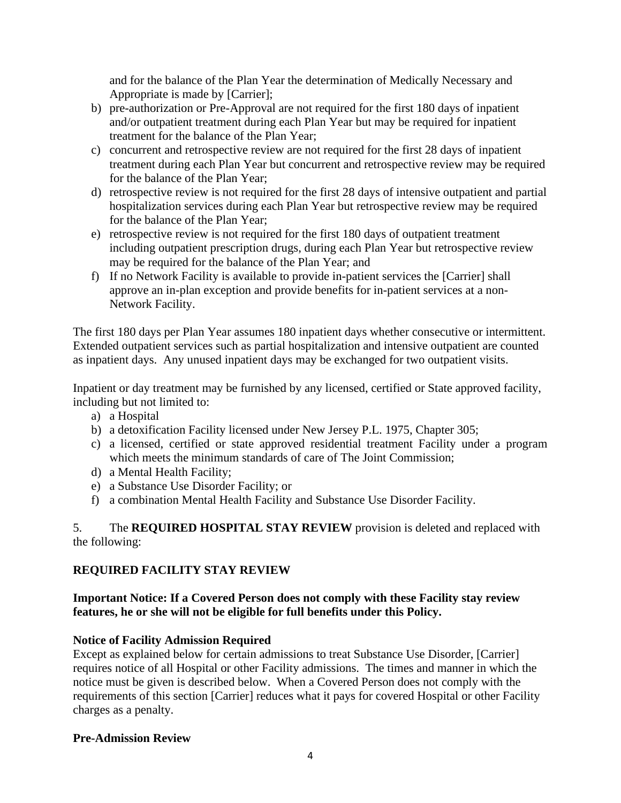and for the balance of the Plan Year the determination of Medically Necessary and Appropriate is made by [Carrier];

- b) pre-authorization or Pre-Approval are not required for the first 180 days of inpatient and/or outpatient treatment during each Plan Year but may be required for inpatient treatment for the balance of the Plan Year;
- c) concurrent and retrospective review are not required for the first 28 days of inpatient treatment during each Plan Year but concurrent and retrospective review may be required for the balance of the Plan Year;
- d) retrospective review is not required for the first 28 days of intensive outpatient and partial hospitalization services during each Plan Year but retrospective review may be required for the balance of the Plan Year;
- e) retrospective review is not required for the first 180 days of outpatient treatment including outpatient prescription drugs, during each Plan Year but retrospective review may be required for the balance of the Plan Year; and
- f) If no Network Facility is available to provide in-patient services the [Carrier] shall approve an in-plan exception and provide benefits for in-patient services at a non-Network Facility.

The first 180 days per Plan Year assumes 180 inpatient days whether consecutive or intermittent. Extended outpatient services such as partial hospitalization and intensive outpatient are counted as inpatient days. Any unused inpatient days may be exchanged for two outpatient visits.

Inpatient or day treatment may be furnished by any licensed, certified or State approved facility, including but not limited to:

- a) a Hospital
- b) a detoxification Facility licensed under New Jersey P.L. 1975, Chapter 305;
- c) a licensed, certified or state approved residential treatment Facility under a program which meets the minimum standards of care of The Joint Commission;
- d) a Mental Health Facility;
- e) a Substance Use Disorder Facility; or
- f) a combination Mental Health Facility and Substance Use Disorder Facility.

5. The **REQUIRED HOSPITAL STAY REVIEW** provision is deleted and replaced with the following:

## **REQUIRED FACILITY STAY REVIEW**

## **Important Notice: If a Covered Person does not comply with these Facility stay review features, he or she will not be eligible for full benefits under this Policy.**

## **Notice of Facility Admission Required**

Except as explained below for certain admissions to treat Substance Use Disorder, [Carrier] requires notice of all Hospital or other Facility admissions. The times and manner in which the notice must be given is described below. When a Covered Person does not comply with the requirements of this section [Carrier] reduces what it pays for covered Hospital or other Facility charges as a penalty.

## **Pre-Admission Review**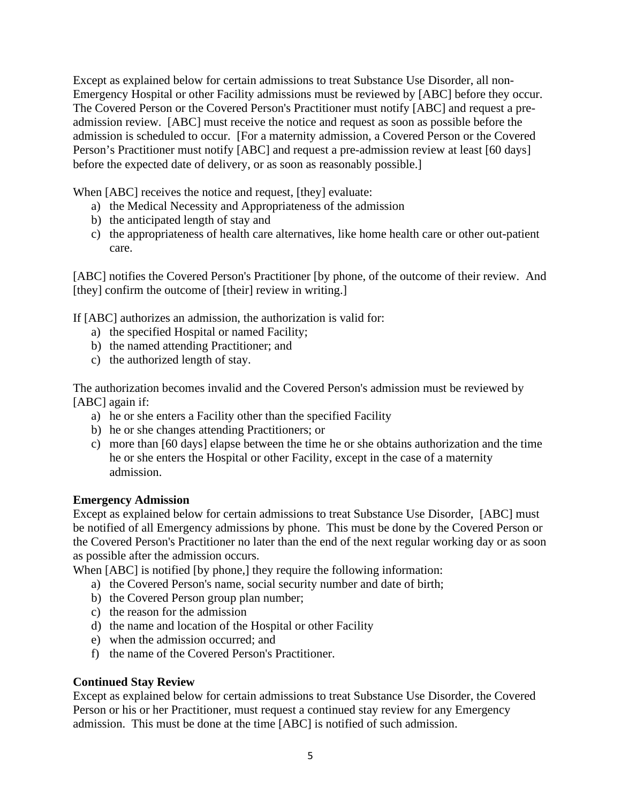Except as explained below for certain admissions to treat Substance Use Disorder, all non-Emergency Hospital or other Facility admissions must be reviewed by [ABC] before they occur. The Covered Person or the Covered Person's Practitioner must notify [ABC] and request a preadmission review. [ABC] must receive the notice and request as soon as possible before the admission is scheduled to occur. [For a maternity admission, a Covered Person or the Covered Person's Practitioner must notify [ABC] and request a pre-admission review at least [60 days] before the expected date of delivery, or as soon as reasonably possible.]

When [ABC] receives the notice and request, [they] evaluate:

- a) the Medical Necessity and Appropriateness of the admission
- b) the anticipated length of stay and
- c) the appropriateness of health care alternatives, like home health care or other out-patient care.

[ABC] notifies the Covered Person's Practitioner [by phone, of the outcome of their review. And [they] confirm the outcome of [their] review in writing.]

If [ABC] authorizes an admission, the authorization is valid for:

- a) the specified Hospital or named Facility;
- b) the named attending Practitioner; and
- c) the authorized length of stay.

The authorization becomes invalid and the Covered Person's admission must be reviewed by [ABC] again if:

- a) he or she enters a Facility other than the specified Facility
- b) he or she changes attending Practitioners; or
- c) more than [60 days] elapse between the time he or she obtains authorization and the time he or she enters the Hospital or other Facility, except in the case of a maternity admission.

#### **Emergency Admission**

Except as explained below for certain admissions to treat Substance Use Disorder, [ABC] must be notified of all Emergency admissions by phone. This must be done by the Covered Person or the Covered Person's Practitioner no later than the end of the next regular working day or as soon as possible after the admission occurs.

When [ABC] is notified [by phone,] they require the following information:

- a) the Covered Person's name, social security number and date of birth;
- b) the Covered Person group plan number;
- c) the reason for the admission
- d) the name and location of the Hospital or other Facility
- e) when the admission occurred; and
- f) the name of the Covered Person's Practitioner.

## **Continued Stay Review**

Except as explained below for certain admissions to treat Substance Use Disorder, the Covered Person or his or her Practitioner, must request a continued stay review for any Emergency admission. This must be done at the time [ABC] is notified of such admission.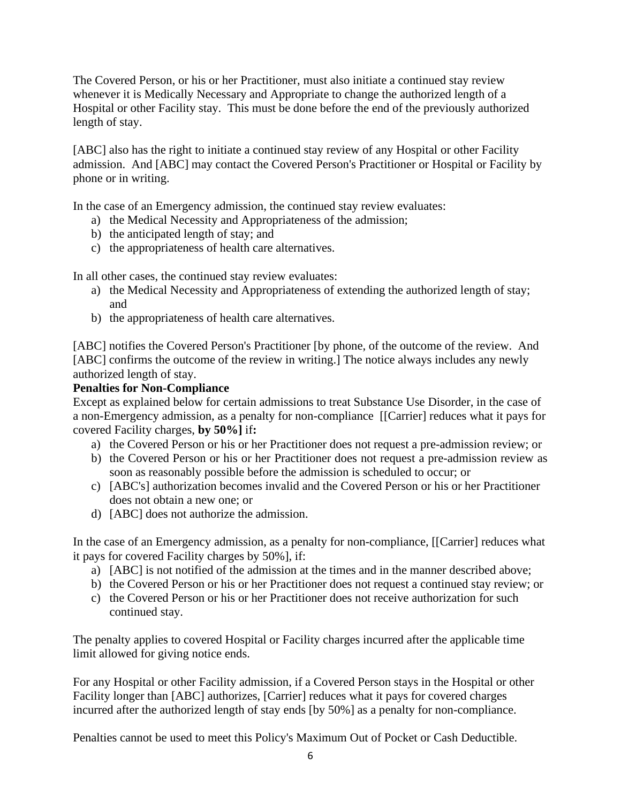The Covered Person, or his or her Practitioner, must also initiate a continued stay review whenever it is Medically Necessary and Appropriate to change the authorized length of a Hospital or other Facility stay. This must be done before the end of the previously authorized length of stay.

[ABC] also has the right to initiate a continued stay review of any Hospital or other Facility admission. And [ABC] may contact the Covered Person's Practitioner or Hospital or Facility by phone or in writing.

In the case of an Emergency admission, the continued stay review evaluates:

- a) the Medical Necessity and Appropriateness of the admission;
- b) the anticipated length of stay; and
- c) the appropriateness of health care alternatives.

In all other cases, the continued stay review evaluates:

- a) the Medical Necessity and Appropriateness of extending the authorized length of stay; and
- b) the appropriateness of health care alternatives.

[ABC] notifies the Covered Person's Practitioner [by phone, of the outcome of the review. And [ABC] confirms the outcome of the review in writing.] The notice always includes any newly authorized length of stay.

## **Penalties for Non-Compliance**

Except as explained below for certain admissions to treat Substance Use Disorder, in the case of a non-Emergency admission, as a penalty for non-compliance [[Carrier] reduces what it pays for covered Facility charges, **by 50%]** if**:**

- a) the Covered Person or his or her Practitioner does not request a pre-admission review; or
- b) the Covered Person or his or her Practitioner does not request a pre-admission review as soon as reasonably possible before the admission is scheduled to occur; or
- c) [ABC's] authorization becomes invalid and the Covered Person or his or her Practitioner does not obtain a new one; or
- d) [ABC] does not authorize the admission.

In the case of an Emergency admission, as a penalty for non-compliance, [[Carrier] reduces what it pays for covered Facility charges by 50%], if:

- a) [ABC] is not notified of the admission at the times and in the manner described above;
- b) the Covered Person or his or her Practitioner does not request a continued stay review; or
- c) the Covered Person or his or her Practitioner does not receive authorization for such continued stay.

The penalty applies to covered Hospital or Facility charges incurred after the applicable time limit allowed for giving notice ends.

For any Hospital or other Facility admission, if a Covered Person stays in the Hospital or other Facility longer than [ABC] authorizes, [Carrier] reduces what it pays for covered charges incurred after the authorized length of stay ends [by 50%] as a penalty for non-compliance.

Penalties cannot be used to meet this Policy's Maximum Out of Pocket or Cash Deductible.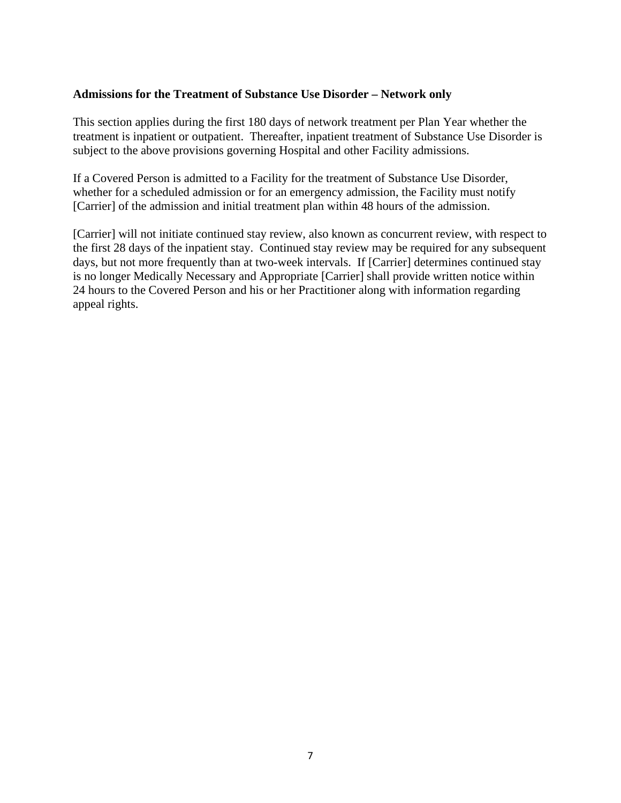#### **Admissions for the Treatment of Substance Use Disorder – Network only**

This section applies during the first 180 days of network treatment per Plan Year whether the treatment is inpatient or outpatient. Thereafter, inpatient treatment of Substance Use Disorder is subject to the above provisions governing Hospital and other Facility admissions.

If a Covered Person is admitted to a Facility for the treatment of Substance Use Disorder, whether for a scheduled admission or for an emergency admission, the Facility must notify [Carrier] of the admission and initial treatment plan within 48 hours of the admission.

[Carrier] will not initiate continued stay review, also known as concurrent review, with respect to the first 28 days of the inpatient stay. Continued stay review may be required for any subsequent days, but not more frequently than at two-week intervals. If [Carrier] determines continued stay is no longer Medically Necessary and Appropriate [Carrier] shall provide written notice within 24 hours to the Covered Person and his or her Practitioner along with information regarding appeal rights.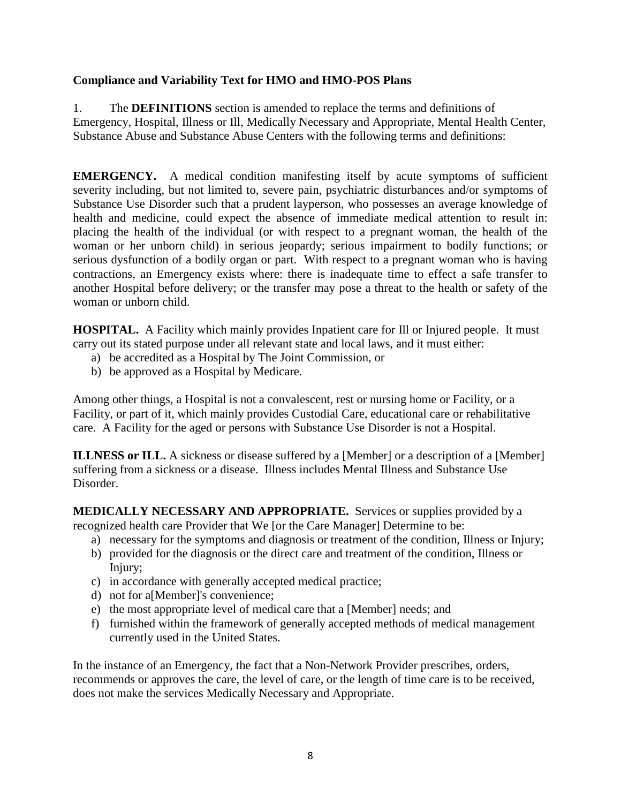## **Compliance and Variability Text for HMO and HMO-POS Plans**

1. The **DEFINITIONS** section is amended to replace the terms and definitions of Emergency, Hospital, Illness or Ill, Medically Necessary and Appropriate, Mental Health Center, Substance Abuse and Substance Abuse Centers with the following terms and definitions:

**EMERGENCY.** A medical condition manifesting itself by acute symptoms of sufficient severity including, but not limited to, severe pain, psychiatric disturbances and/or symptoms of Substance Use Disorder such that a prudent layperson, who possesses an average knowledge of health and medicine, could expect the absence of immediate medical attention to result in: placing the health of the individual (or with respect to a pregnant woman, the health of the woman or her unborn child) in serious jeopardy; serious impairment to bodily functions; or serious dysfunction of a bodily organ or part. With respect to a pregnant woman who is having contractions, an Emergency exists where: there is inadequate time to effect a safe transfer to another Hospital before delivery; or the transfer may pose a threat to the health or safety of the woman or unborn child.

**HOSPITAL.** A Facility which mainly provides Inpatient care for Ill or Injured people. It must carry out its stated purpose under all relevant state and local laws, and it must either:

- a) be accredited as a Hospital by The Joint Commission, or
- b) be approved as a Hospital by Medicare.

Among other things, a Hospital is not a convalescent, rest or nursing home or Facility, or a Facility, or part of it, which mainly provides Custodial Care, educational care or rehabilitative care. A Facility for the aged or persons with Substance Use Disorder is not a Hospital.

**ILLNESS or ILL.** A sickness or disease suffered by a [Member] or a description of a [Member] suffering from a sickness or a disease. Illness includes Mental Illness and Substance Use Disorder.

**MEDICALLY NECESSARY AND APPROPRIATE.** Services or supplies provided by a recognized health care Provider that We [or the Care Manager] Determine to be:

- a) necessary for the symptoms and diagnosis or treatment of the condition, Illness or Injury;
- b) provided for the diagnosis or the direct care and treatment of the condition, Illness or Injury;
- c) in accordance with generally accepted medical practice;
- d) not for a[Member]'s convenience;
- e) the most appropriate level of medical care that a [Member] needs; and
- f) furnished within the framework of generally accepted methods of medical management currently used in the United States.

In the instance of an Emergency, the fact that a Non-Network Provider prescribes, orders, recommends or approves the care, the level of care, or the length of time care is to be received, does not make the services Medically Necessary and Appropriate.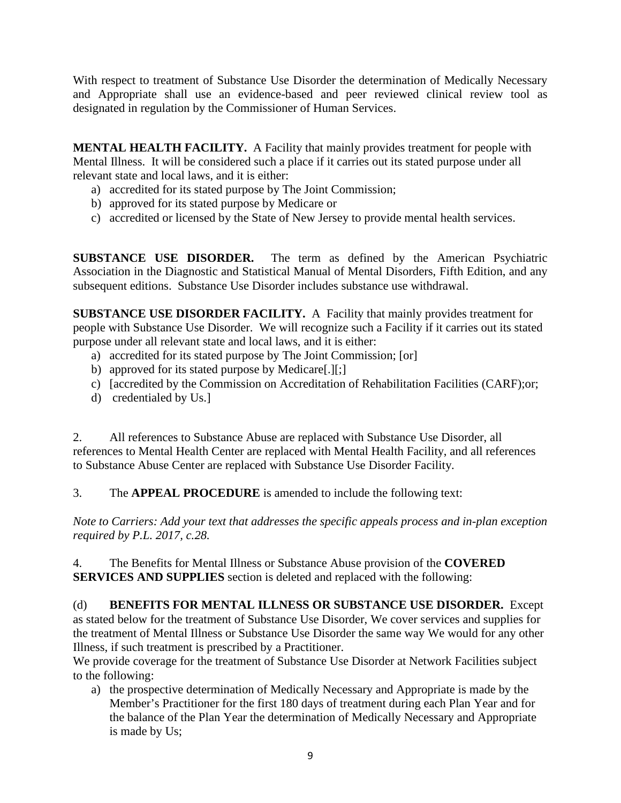With respect to treatment of Substance Use Disorder the determination of Medically Necessary and Appropriate shall use an evidence-based and peer reviewed clinical review tool as designated in regulation by the Commissioner of Human Services.

**MENTAL HEALTH FACILITY.** A Facility that mainly provides treatment for people with Mental Illness. It will be considered such a place if it carries out its stated purpose under all relevant state and local laws, and it is either:

- a) accredited for its stated purpose by The Joint Commission;
- b) approved for its stated purpose by Medicare or
- c) accredited or licensed by the State of New Jersey to provide mental health services.

**SUBSTANCE USE DISORDER.** The term as defined by the American Psychiatric Association in the Diagnostic and Statistical Manual of Mental Disorders, Fifth Edition, and any subsequent editions. Substance Use Disorder includes substance use withdrawal.

**SUBSTANCE USE DISORDER FACILITY.** A Facility that mainly provides treatment for people with Substance Use Disorder. We will recognize such a Facility if it carries out its stated purpose under all relevant state and local laws, and it is either:

- a) accredited for its stated purpose by The Joint Commission; [or]
- b) approved for its stated purpose by Medicare[.][;]
- c) [accredited by the Commission on Accreditation of Rehabilitation Facilities (CARF);or;
- d) credentialed by Us.]

2. All references to Substance Abuse are replaced with Substance Use Disorder, all references to Mental Health Center are replaced with Mental Health Facility, and all references to Substance Abuse Center are replaced with Substance Use Disorder Facility.

3. The **APPEAL PROCEDURE** is amended to include the following text:

*Note to Carriers: Add your text that addresses the specific appeals process and in-plan exception required by P.L. 2017, c.28.*

4. The Benefits for Mental Illness or Substance Abuse provision of the **COVERED SERVICES AND SUPPLIES** section is deleted and replaced with the following:

(d) **BENEFITS FOR MENTAL ILLNESS OR SUBSTANCE USE DISORDER.** Except as stated below for the treatment of Substance Use Disorder, We cover services and supplies for the treatment of Mental Illness or Substance Use Disorder the same way We would for any other Illness, if such treatment is prescribed by a Practitioner.

We provide coverage for the treatment of Substance Use Disorder at Network Facilities subject to the following:

a) the prospective determination of Medically Necessary and Appropriate is made by the Member's Practitioner for the first 180 days of treatment during each Plan Year and for the balance of the Plan Year the determination of Medically Necessary and Appropriate is made by Us;